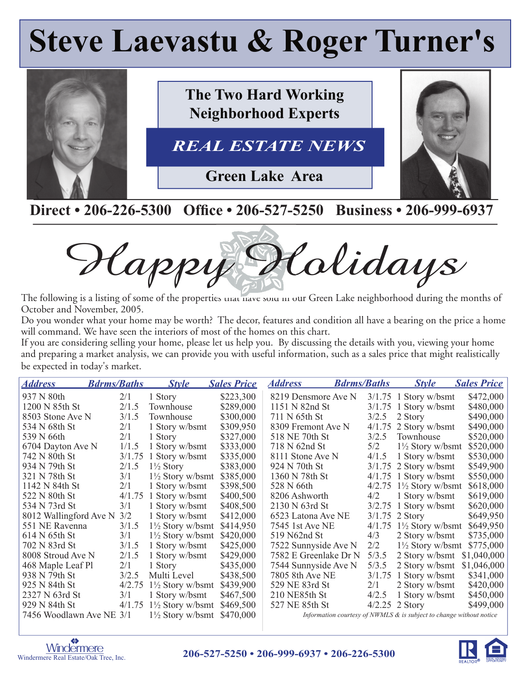# **Steve Laevastu & Roger Turner's**



### Direct • 206-226-5300 Office • 206-527-5250 Business • 206-999-6937

Happy Holidays

The following is a listing of some of the properties unat have sold in our Green Lake neighborhood during the months of October and November, 2005.

Do you wonder what your home may be worth? The decor, features and condition all have a bearing on the price a home will command. We have seen the interiors of most of the homes on this chart.

If you are considering selling your home, please let us help you. By discussing the details with you, viewing your home and preparing a market analysis, we can provide you with useful information, such as a sales price that might realistically be expected in today's market.

| <b>Address</b>           | <b>Bdrms/Baths</b> | <b>Style</b>                | <b>Sales Price</b> | <b>Address</b>        | <b>Bdrms/Baths</b> | <b>Style</b>                                                           | <b>Sales Price</b> |
|--------------------------|--------------------|-----------------------------|--------------------|-----------------------|--------------------|------------------------------------------------------------------------|--------------------|
| 937 N 80th               | 2/1                | 1 Story                     | \$223,300          | 8219 Densmore Ave N   |                    | $3/1.75$ 1 Story w/bsmt                                                | \$472,000          |
| 1200 N 85th St           | 2/1.5              | Townhouse                   | \$289,000          | 1151 N 82nd St        |                    | $3/1.75$ 1 Story w/bsmt                                                | \$480,000          |
| 8503 Stone Ave N         | 3/1.5              | Townhouse                   | \$300,000          | 711 N 65th St         | 3/2.5              | 2 Story                                                                | \$490,000          |
| 534 N 68th St            | 2/1                | 1 Story w/bsmt              | \$309,950          | 8309 Fremont Ave N    | 4/1.75             | 2 Story w/bsmt                                                         | \$490,000          |
| 539 N 66th               | 2/1                | 1 Story                     | \$327,000          | 518 NE 70th St        | 3/2.5              | Townhouse                                                              | \$520,000          |
| 6704 Dayton Ave N        | 1/1.5              | 1 Story w/bsmt              | \$333,000          | 718 N 62nd St         | 5/2                | $1\frac{1}{2}$ Story w/bsmt                                            | \$520,000          |
| 742 N 80th St            | 3/1.75             | 1 Story w/bsmt              | \$335,000          | 8111 Stone Ave N      | 4/1.5              | 1 Story w/bsmt                                                         | \$530,000          |
| 934 N 79th St            | 2/1.5              | $1\frac{1}{2}$ Story        | \$383,000          | 924 N 70th St         |                    | $3/1.75$ 2 Story w/bsmt                                                | \$549,900          |
| 321 N 78th St            | 3/1                | $1\frac{1}{2}$ Story w/bsmt | \$385,000          | 1360 N 78th St        |                    | $4/1.75$ 1 Story w/bsmt                                                | \$550,000          |
| 1142 N 84th St           | 2/1                | 1 Story w/bsmt              | \$398,500          | 528 N 66th            | 4/2.75             | $1\frac{1}{2}$ Story w/bsmt                                            | \$618,000          |
| 522 N 80th St            | 4/1.75             | 1 Story w/bsmt              | \$400,500          | 8206 Ashworth         | 4/2                | 1 Story w/bsmt                                                         | \$619,000          |
| 534 N 73rd St            | 3/1                | 1 Story w/bsmt              | \$408,500          | 2130 N 63rd St        | 3/2.75             | 1 Story w/bsmt                                                         | \$620,000          |
| 8012 Wallingford Ave N   | 3/2                | 1 Story w/bsmt              | \$412,000          | 6523 Latona Ave NE    |                    | $3/1.75$ 2 Story                                                       | \$649,950          |
| 551 NE Ravenna           | 3/1.5              | $1\frac{1}{2}$ Story w/bsmt | \$414,950          | 7545 1st Ave NE       | 4/1.75             | $1\frac{1}{2}$ Story w/bsmt                                            | \$649,950          |
| 614 N 65th St            | 3/1                | $1\frac{1}{2}$ Story w/bsmt | \$420,000          | 519 N62nd St          | 4/3                | 2 Story w/bsmt                                                         | \$735,000          |
| 702 N 83rd St            | 3/1.5              | 1 Story w/bsmt              | \$425,000          | 7522 Sunnyside Ave N  | 2/2                | $1\frac{1}{2}$ Story w/bsmt                                            | \$775,000          |
| 8008 Stroud Ave N        | 2/1.5              | 1 Story w/bsmt              | \$429,000          | 7582 E Greenlake Dr N | 5/3.5              | 2 Story w/bsmt                                                         | \$1,040,000        |
| 468 Maple Leaf Pl        | 2/1                | 1 Story                     | \$435,000          | 7544 Sunnyside Ave N  | 5/3.5              | 2 Story w/bsmt                                                         | \$1,046,000        |
| 938 N 79th St            | 3/2.5              | Multi Level                 | \$438,500          | 7805 8th Ave NE       | 3/1.75             | 1 Story w/bsmt                                                         | \$341,000          |
| 925 N 84th St            | 4/2.75             | $1\frac{1}{2}$ Story w/bsmt | \$439,900          | 529 NE 83rd St        | 2/1                | 2 Story w/bsmt                                                         | \$420,000          |
| 2327 N 63rd St           | 3/1                | 1 Story w/bsmt              | \$467,500          | 210 NE85th St         | 4/2.5              | 1 Story w/bsmt                                                         | \$450,000          |
| 929 N 84th St            | 4/1.75             | $1\frac{1}{2}$ Story w/bsmt | \$469,500          | 527 NE 85th St        |                    | $4/2.25$ 2 Story                                                       | \$499,000          |
| 7456 Woodlawn Ave NE 3/1 |                    | $1\frac{1}{2}$ Story w/bsmt | \$470,000          |                       |                    | Information courtesy of NWMLS $\&$ is subject to change without notice |                    |



S **206-527-5250 • 206-999-6937 • 206-226-5300**